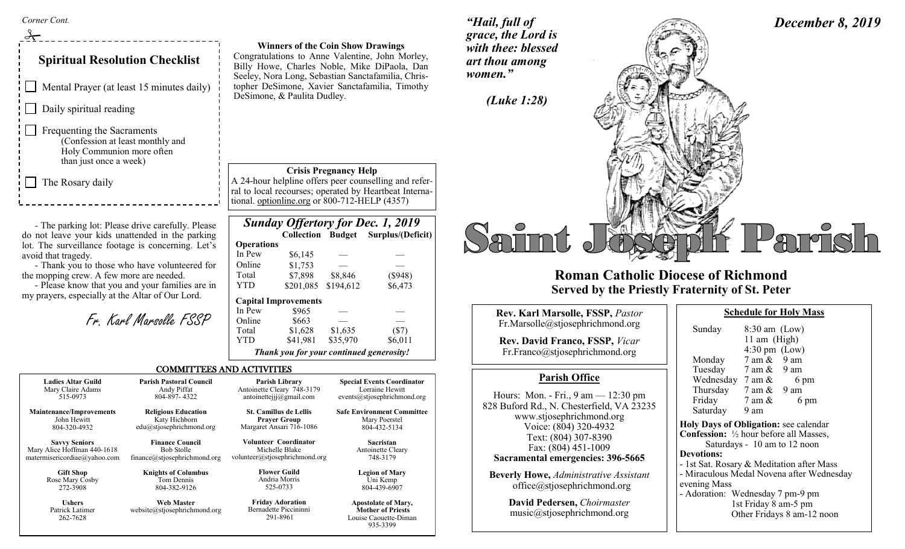*Corner Cont.* 

 $\frac{1}{2}$ 

## **Spiritual Resolution Checklist**

Mental Prayer (at least 15 minutes daily)

 $\Box$  Daily spiritual reading

Frequenting the Sacraments (Confession at least monthly and Holy Communion more often than just once a week)

 $\Box$  The Rosary daily

272-3908 **Ushers** Patrick Latimer 262-7628

- The parking lot: Please drive carefully. Please do not leave your kids unattended in the parking lot. The surveillance footage is concerning. Let's avoid that tragedy.

- Thank you to those who have volunteered for the mopping crew. A few more are needed.

- Please know that you and your families are in my prayers, especially at the Altar of Our Lord.

Fr. Karl Marsolle FSSP

**Winners of the Coin Show Drawings** Congratulations to Anne Valentine, John Morley, Billy Howe, Charles Noble, Mike DiPaola, Dan Seeley, Nora Long, Sebastian Sanctafamilia, Christopher DeSimone, Xavier Sanctafamilia, Timothy DeSimone, & Paulita Dudley.

*"Hail, full of grace, the Lord is with thee: blessed art thou among women."*

**Crisis Pregnancy Help**

A 24-hour helpline offers peer counselling and referral to local recourses; operated by Heartbeat International. optionline.org or 800-712-HELP (4357)

|                   |                                          |           | <b>Sunday Offertory for Dec. 1, 2019</b> |
|-------------------|------------------------------------------|-----------|------------------------------------------|
|                   |                                          |           | Collection Budget Surplus/(Deficit)      |
| <b>Operations</b> |                                          |           |                                          |
| In Pew            | \$6,145                                  |           |                                          |
| Online            | \$1,753                                  |           |                                          |
| Total             | \$7,898                                  | \$8,846   | $(\$948)$                                |
| <b>YTD</b>        | \$201,085                                | \$194,612 | \$6,473                                  |
|                   | <b>Capital Improvements</b>              |           |                                          |
| In Pew            | \$965                                    |           |                                          |
| Online            | \$663                                    |           |                                          |
| Total             | \$1,628                                  | \$1,635   | $(\$7)$                                  |
| YTD               | \$41,981                                 | \$35,970  | \$6,011                                  |
|                   | Thank you for your continued generosity! |           |                                          |

#### COMMITTEES AND ACTIVITIES

**Ladies Altar Guild** Mary Claire Adams 515-0973 **Maintenance/Improvements** John Hewitt 804-320-4932 **Savvy Seniors** Mary Alice Hoffman 440-1618 matermisericordiae@yahoo.com **Gift Shop**  Rose Mary Cosby **Parish Pastoral Council** Andy Piffat 804-897- 4322 **Religious Education** Katy Hichborn edu@stjosephrichmond.org **Finance Council** Bob Stolle finance@stjosephrichmond.org **Knights of Columbus** Antoinette Cleary 748-3179 antoinettejjj@gmail.com **St. Camillus de Lellis** 

Tom Dennis 804-382-9126

**Web Master** website@stjosephrichmond.org

**Prayer Group** Margaret Ansari 716-1086 **Volunteer Coordinator**

> Michelle Blake volunteer@stjosephrichmond.org

> > **Friday Adoration** Bernadette Piccininni 291-8961

**Parish Library**

**Flower Guild** Andria Morris 525-0733

Uni Kemp 804-439-6907

**Special Events Coordinator** Lorraine Hewitt events@stjosephrichmond.org **Safe Environment Committee** Mary Poerstel 804-432-5134 **Sacristan** Antoinette Cleary 748-3179 **Legion of Mary**

> **Apostolate of Mary, Mother of Priests** Louise Caouette-Diman 935-3399

# *December 8, 2019 (Luke 1:28)*  arrish

### **Roman Catholic Diocese of Richmond Served by the Priestly Fraternity of St. Peter**

| <b>Rev. Karl Marsolle, FSSP, Pastor</b><br>Fr.Marsolle@stjosephrichmond.org<br><b>Rev. David Franco, FSSP, Vicar</b><br>Fr.Franco@stjosephrichmond.org                                                                                                                                                                                                                     | Sund<br>Mono                                                                                                                  |
|----------------------------------------------------------------------------------------------------------------------------------------------------------------------------------------------------------------------------------------------------------------------------------------------------------------------------------------------------------------------------|-------------------------------------------------------------------------------------------------------------------------------|
| <b>Parish Office</b>                                                                                                                                                                                                                                                                                                                                                       | Tues<br>Wedi                                                                                                                  |
| Hours: Mon. - Fri., $9 \text{ am} - 12:30 \text{ pm}$<br>828 Buford Rd., N. Chesterfield, VA 23235<br>www.stjosephrichmond.org<br>Voice: (804) 320-4932<br>Text: (804) 307-8390<br>Fax: (804) 451-1009<br>Sacramental emergencies: 396-5665<br><b>Beverly Howe, Administrative Assistant</b><br>$of\text{fice}\text{@st}$ josephrichmond.org<br>Dovid Dodovson Choiumaston | Thur<br>Frida<br>Satur<br><b>Holy Da</b><br>Confessi<br>S<br><b>Devotion</b><br>- 1st Sat.<br>- Miracu<br>evening<br>- Adorat |

**David Pedersen,** *Choirmaster* music@stjosephrichmond.org

| Sunday                                                   | $8:30$ am $(Low)$                |      |  |  |  |
|----------------------------------------------------------|----------------------------------|------|--|--|--|
| 11 am (High)                                             |                                  |      |  |  |  |
|                                                          | $4:30 \text{ pm}$ (Low)          |      |  |  |  |
| Monday                                                   | 7 am & 9 am                      |      |  |  |  |
| Tuesday 7 am & 9 am                                      |                                  |      |  |  |  |
| Wednesday $7 \text{ am } \&$                             |                                  | 6 pm |  |  |  |
| Thursday $7 \text{ am } \& 9 \text{ am}$                 |                                  |      |  |  |  |
| Friday                                                   | $7 \text{ am } \&$               | 6 pm |  |  |  |
| Saturday 9 am                                            |                                  |      |  |  |  |
| Holy Days of Obligation: see calendar                    |                                  |      |  |  |  |
| <b>Confession:</b> $\frac{1}{2}$ hour before all Masses, |                                  |      |  |  |  |
| Saturdays - 10 am to 12 noon                             |                                  |      |  |  |  |
| <b>Devotions:</b>                                        |                                  |      |  |  |  |
| - 1st Sat. Rosary & Meditation after Mass                |                                  |      |  |  |  |
| - Miraculous Medal Novena after Wednesday                |                                  |      |  |  |  |
| evening Mass                                             |                                  |      |  |  |  |
|                                                          | - Adoration: Wednesday 7 pm-9 pm |      |  |  |  |
| 1st Friday 8 am-5 pm                                     |                                  |      |  |  |  |
| Other Fridays 8 am-12 noon                               |                                  |      |  |  |  |

**Schedule for Holy Mass**